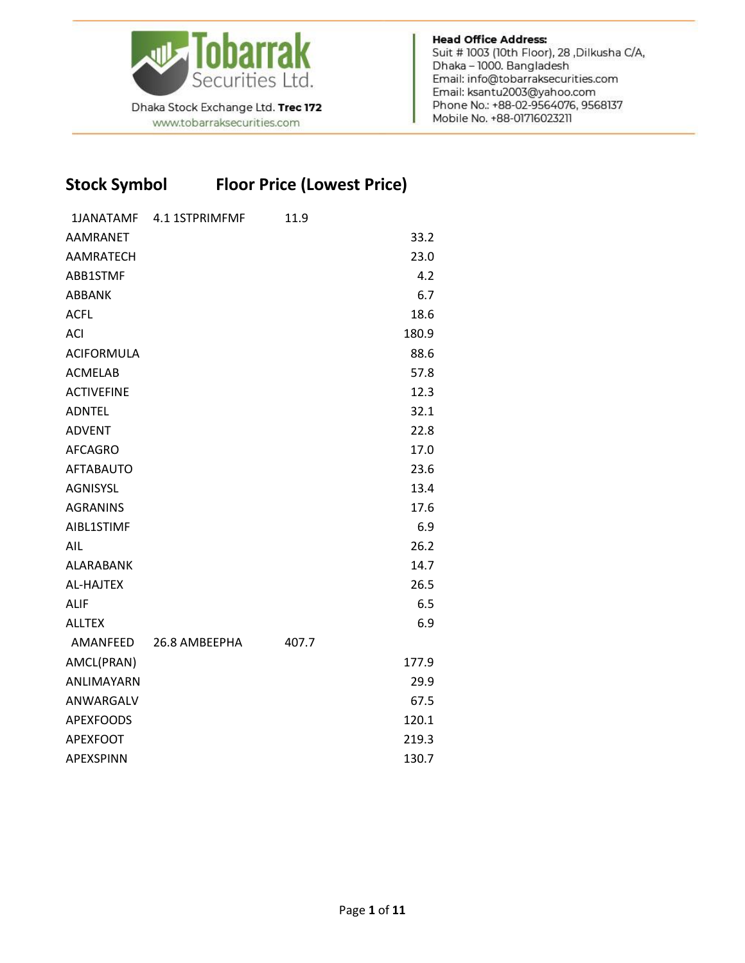

Dhaka Stock Exchange Ltd. Trec 172 www.tobarraksecurities.com

**Head Office Address:** Suit # 1003 (10th Floor), 28, Dilkusha C/A, Dhaka - 1000. Bangladesh Email: info@tobarraksecurities.com Email: ksantu2003@yahoo.com Phone No.: +88-02-9564076, 9568137 Mobile No. +88-01716023211

## **Stock Symbol Floor Price (Lowest Price)**

| <b>1JANATAMF</b>  | 4.1 1STPRIMFMF | 11.9  |       |
|-------------------|----------------|-------|-------|
| <b>AAMRANET</b>   |                |       | 33.2  |
| <b>AAMRATECH</b>  |                |       | 23.0  |
| ABB1STMF          |                |       | 4.2   |
| ABBANK            |                |       | 6.7   |
| <b>ACFL</b>       |                |       | 18.6  |
| <b>ACI</b>        |                |       | 180.9 |
| <b>ACIFORMULA</b> |                |       | 88.6  |
| <b>ACMELAB</b>    |                |       | 57.8  |
| <b>ACTIVEFINE</b> |                |       | 12.3  |
| <b>ADNTEL</b>     |                |       | 32.1  |
| <b>ADVENT</b>     |                |       | 22.8  |
| <b>AFCAGRO</b>    |                |       | 17.0  |
| <b>AFTABAUTO</b>  |                |       | 23.6  |
| <b>AGNISYSL</b>   |                |       | 13.4  |
| <b>AGRANINS</b>   |                |       | 17.6  |
| AIBL1STIMF        |                |       | 6.9   |
| AIL               |                |       | 26.2  |
| ALARABANK         |                |       | 14.7  |
| <b>AL-HAJTEX</b>  |                |       | 26.5  |
| <b>ALIF</b>       |                |       | 6.5   |
| <b>ALLTEX</b>     |                |       | 6.9   |
| AMANFEED          | 26.8 AMBEEPHA  | 407.7 |       |
| AMCL(PRAN)        |                |       | 177.9 |
| ANLIMAYARN        |                |       | 29.9  |
| ANWARGALV         |                |       | 67.5  |
| <b>APEXFOODS</b>  |                |       | 120.1 |
| <b>APEXFOOT</b>   |                |       | 219.3 |
| <b>APEXSPINN</b>  |                |       | 130.7 |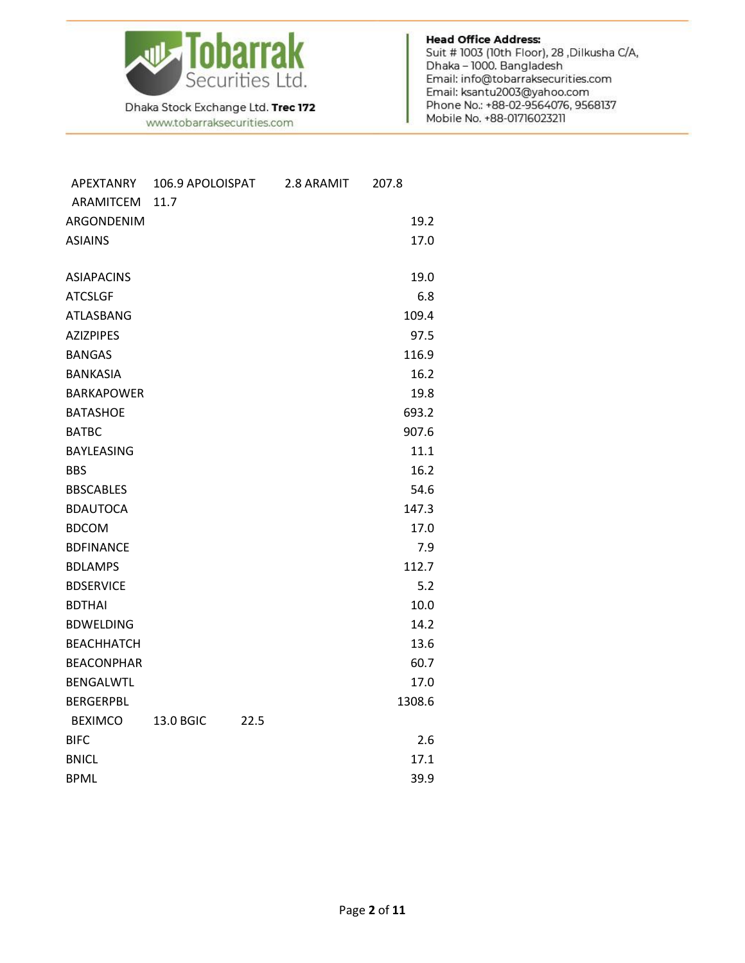

www.tobarraksecurities.com

| APEXTANRY         | 106.9 APOLOISPAT |      | 2.8 ARAMIT | 207.8  |
|-------------------|------------------|------|------------|--------|
| ARAMITCEM         | 11.7             |      |            |        |
| ARGONDENIM        |                  |      |            | 19.2   |
| <b>ASIAINS</b>    |                  |      |            | 17.0   |
|                   |                  |      |            |        |
| <b>ASIAPACINS</b> |                  |      |            | 19.0   |
| <b>ATCSLGF</b>    |                  |      |            | 6.8    |
| <b>ATLASBANG</b>  |                  |      |            | 109.4  |
| <b>AZIZPIPES</b>  |                  |      |            | 97.5   |
| <b>BANGAS</b>     |                  |      |            | 116.9  |
| <b>BANKASIA</b>   |                  |      |            | 16.2   |
| <b>BARKAPOWER</b> |                  |      |            | 19.8   |
| <b>BATASHOE</b>   |                  |      |            | 693.2  |
| <b>BATBC</b>      |                  |      |            | 907.6  |
| <b>BAYLEASING</b> |                  |      |            | 11.1   |
| <b>BBS</b>        |                  |      |            | 16.2   |
| <b>BBSCABLES</b>  |                  |      |            | 54.6   |
| <b>BDAUTOCA</b>   |                  |      |            | 147.3  |
| <b>BDCOM</b>      |                  |      |            | 17.0   |
| <b>BDFINANCE</b>  |                  |      |            | 7.9    |
| <b>BDLAMPS</b>    |                  |      |            | 112.7  |
| <b>BDSERVICE</b>  |                  |      |            | 5.2    |
| <b>BDTHAI</b>     |                  |      |            | 10.0   |
| <b>BDWELDING</b>  |                  |      |            | 14.2   |
| <b>ВЕАСННАТСН</b> |                  |      |            | 13.6   |
| <b>BEACONPHAR</b> |                  |      |            | 60.7   |
| <b>BENGALWTL</b>  |                  |      |            | 17.0   |
| <b>BERGERPBL</b>  |                  |      |            | 1308.6 |
| <b>BEXIMCO</b>    | 13.0 BGIC        | 22.5 |            |        |
| <b>BIFC</b>       |                  |      |            | 2.6    |
| <b>BNICL</b>      |                  |      |            | 17.1   |
| <b>BPML</b>       |                  |      |            | 39.9   |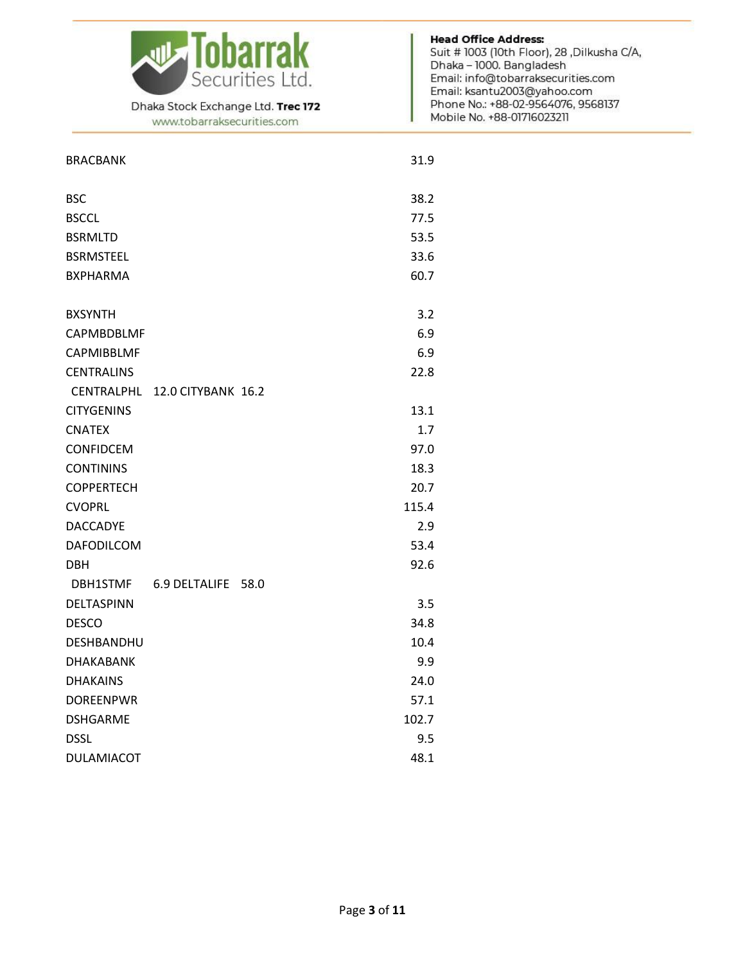

www.tobarraksecurities.com

| <b>BRACBANK</b>   |                    |      | 31.9  |
|-------------------|--------------------|------|-------|
| <b>BSC</b>        |                    |      | 38.2  |
| <b>BSCCL</b>      |                    |      | 77.5  |
| <b>BSRMLTD</b>    |                    |      | 53.5  |
| <b>BSRMSTEEL</b>  |                    |      | 33.6  |
| <b>BXPHARMA</b>   |                    |      | 60.7  |
| <b>BXSYNTH</b>    |                    |      | 3.2   |
| CAPMBDBLMF        |                    |      | 6.9   |
| <b>CAPMIBBLMF</b> |                    |      | 6.9   |
| <b>CENTRALINS</b> |                    |      | 22.8  |
| <b>CENTRALPHL</b> | 12.0 CITYBANK 16.2 |      |       |
| <b>CITYGENINS</b> |                    |      | 13.1  |
| <b>CNATEX</b>     |                    |      | 1.7   |
| CONFIDCEM         |                    |      | 97.0  |
| <b>CONTININS</b>  |                    |      | 18.3  |
| <b>COPPERTECH</b> |                    |      | 20.7  |
| <b>CVOPRL</b>     |                    |      | 115.4 |
| <b>DACCADYE</b>   |                    |      | 2.9   |
| <b>DAFODILCOM</b> |                    |      | 53.4  |
| <b>DBH</b>        |                    |      | 92.6  |
| <b>DBH1STMF</b>   | 6.9 DELTALIFE      | 58.0 |       |
| DELTASPINN        |                    |      | 3.5   |
| <b>DESCO</b>      |                    |      | 34.8  |
| <b>DESHBANDHU</b> |                    |      | 10.4  |
| <b>DHAKABANK</b>  |                    |      | 9.9   |
| <b>DHAKAINS</b>   |                    |      | 24.0  |
| <b>DOREENPWR</b>  |                    |      | 57.1  |
| <b>DSHGARME</b>   |                    |      | 102.7 |
| <b>DSSL</b>       |                    |      | 9.5   |
| <b>DULAMIACOT</b> |                    |      | 48.1  |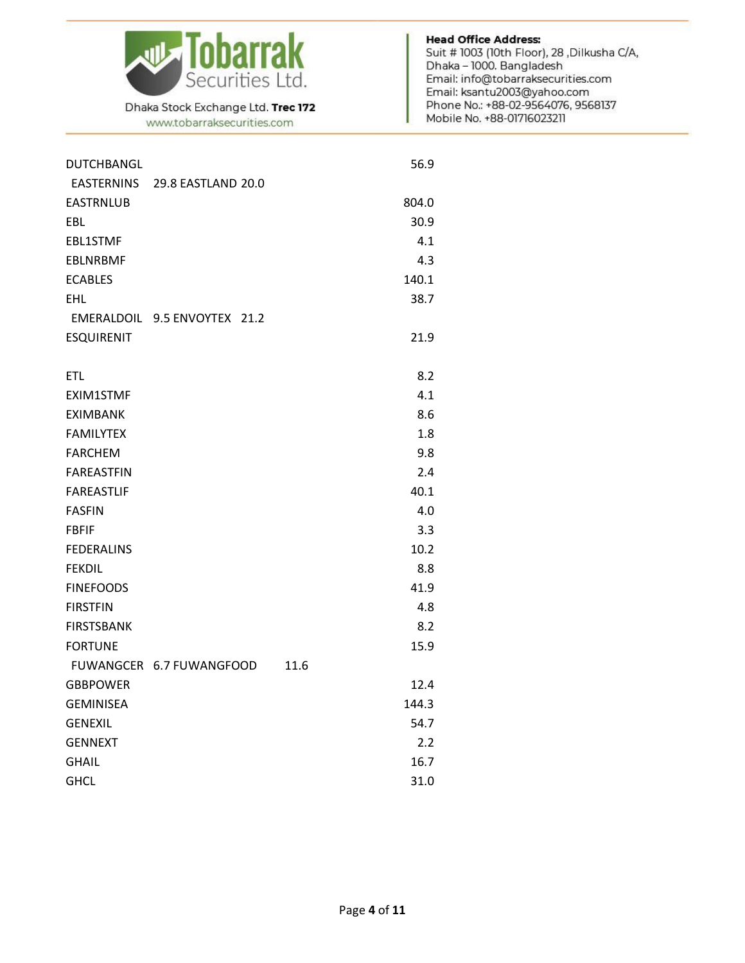

www.tobarraksecurities.com

| <b>DUTCHBANGL</b> |                              |      | 56.9  |
|-------------------|------------------------------|------|-------|
| EASTERNINS        | 29.8 EASTLAND 20.0           |      |       |
| <b>EASTRNLUB</b>  |                              |      | 804.0 |
| EBL.              |                              |      | 30.9  |
| <b>EBL1STMF</b>   |                              |      | 4.1   |
| <b>EBLNRBMF</b>   |                              |      | 4.3   |
| <b>ECABLES</b>    |                              |      | 140.1 |
| <b>EHL</b>        |                              |      | 38.7  |
|                   | EMERALDOIL 9.5 ENVOYTEX 21.2 |      |       |
| <b>ESQUIRENIT</b> |                              |      | 21.9  |
|                   |                              |      |       |
| <b>ETL</b>        |                              |      | 8.2   |
| EXIM1STMF         |                              |      | 4.1   |
| <b>EXIMBANK</b>   |                              |      | 8.6   |
| <b>FAMILYTEX</b>  |                              |      | 1.8   |
| <b>FARCHEM</b>    |                              |      | 9.8   |
| <b>FAREASTFIN</b> |                              |      | 2.4   |
| <b>FAREASTLIF</b> |                              |      | 40.1  |
| <b>FASFIN</b>     |                              |      | 4.0   |
| <b>FBFIF</b>      |                              |      | 3.3   |
| <b>FEDERALINS</b> |                              |      | 10.2  |
| <b>FEKDIL</b>     |                              |      | 8.8   |
| <b>FINEFOODS</b>  |                              |      | 41.9  |
| <b>FIRSTFIN</b>   |                              |      | 4.8   |
| <b>FIRSTSBANK</b> |                              |      | 8.2   |
| <b>FORTUNE</b>    |                              |      | 15.9  |
|                   | FUWANGCER 6.7 FUWANGFOOD     | 11.6 |       |
| <b>GBBPOWER</b>   |                              |      | 12.4  |
| <b>GEMINISEA</b>  |                              |      | 144.3 |
| <b>GENEXIL</b>    |                              |      | 54.7  |
| <b>GENNEXT</b>    |                              |      | 2.2   |
| <b>GHAIL</b>      |                              |      | 16.7  |
| <b>GHCL</b>       |                              |      | 31.0  |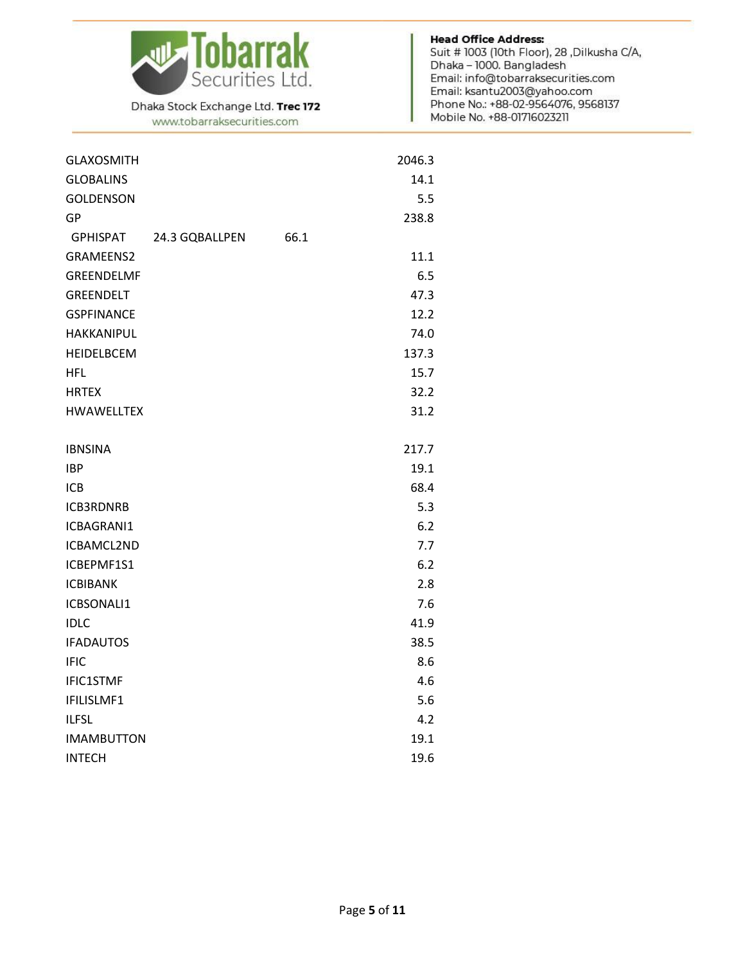

www.tobarraksecurities.com

| <b>GLAXOSMITH</b>                 |      | 2046.3 |
|-----------------------------------|------|--------|
| <b>GLOBALINS</b>                  |      | 14.1   |
| <b>GOLDENSON</b>                  |      | 5.5    |
| GP                                |      | 238.8  |
| <b>GPHISPAT</b><br>24.3 GQBALLPEN | 66.1 |        |
| <b>GRAMEENS2</b>                  |      | 11.1   |
| <b>GREENDELMF</b>                 |      | 6.5    |
| GREENDELT                         |      | 47.3   |
| <b>GSPFINANCE</b>                 |      | 12.2   |
| <b>HAKKANIPUL</b>                 |      | 74.0   |
| <b>HEIDELBCEM</b>                 |      | 137.3  |
| <b>HFL</b>                        |      | 15.7   |
| <b>HRTEX</b>                      |      | 32.2   |
| <b>HWAWELLTEX</b>                 |      | 31.2   |
|                                   |      |        |
| <b>IBNSINA</b>                    |      | 217.7  |
| <b>IBP</b>                        |      | 19.1   |
| ICB                               |      | 68.4   |
| <b>ICB3RDNRB</b>                  |      | 5.3    |
| ICBAGRANI1                        |      | 6.2    |
| ICBAMCL2ND                        |      | 7.7    |
| ICBEPMF1S1                        |      | 6.2    |
| <b>ICBIBANK</b>                   |      | 2.8    |
| <b>ICBSONALI1</b>                 |      | 7.6    |
| <b>IDLC</b>                       |      | 41.9   |
| <b>IFADAUTOS</b>                  |      | 38.5   |
| <b>IFIC</b>                       |      | 8.6    |
| <b>IFIC1STMF</b>                  |      | 4.6    |
| IFILISLMF1                        |      | 5.6    |
| <b>ILFSL</b>                      |      | 4.2    |
| <b>IMAMBUTTON</b>                 |      | 19.1   |
| <b>INTECH</b>                     |      | 19.6   |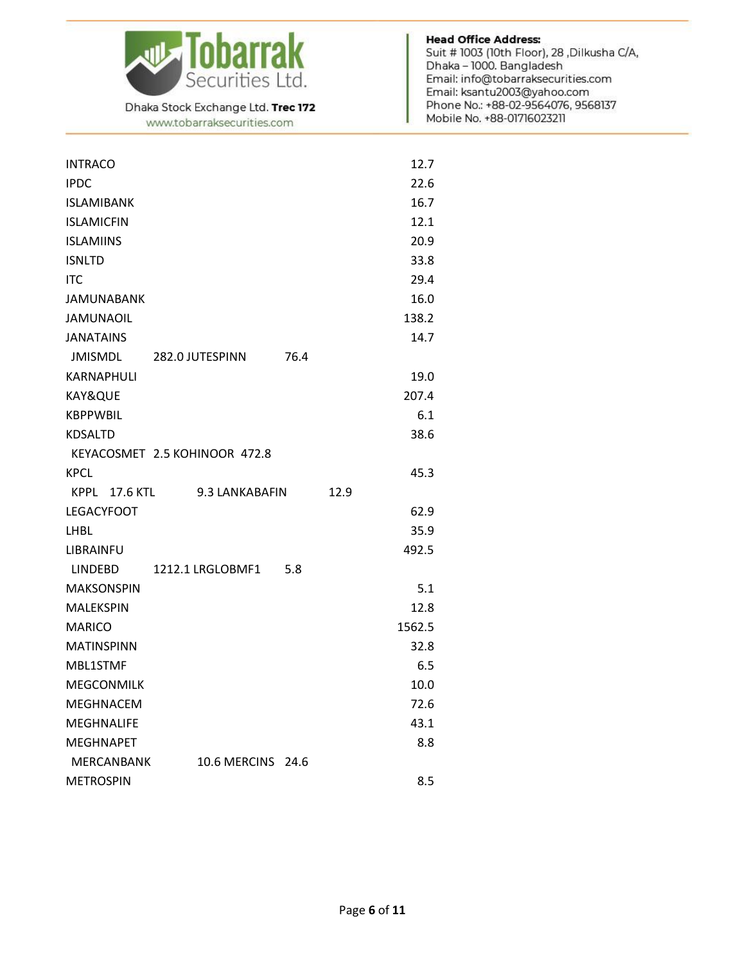

www.tobarraksecurities.com

| <b>INTRACO</b>                     | 12.7   |
|------------------------------------|--------|
| <b>IPDC</b>                        | 22.6   |
| <b>ISLAMIBANK</b>                  | 16.7   |
| <b>ISLAMICFIN</b>                  | 12.1   |
| <b>ISLAMIINS</b>                   | 20.9   |
| <b>ISNLTD</b>                      | 33.8   |
| <b>ITC</b>                         | 29.4   |
| <b>JAMUNABANK</b>                  | 16.0   |
| <b>JAMUNAOIL</b>                   | 138.2  |
| <b>JANATAINS</b>                   | 14.7   |
| JMISMDL<br>282.0 JUTESPINN         | 76.4   |
| KARNAPHULI                         | 19.0   |
| KAY&QUE                            | 207.4  |
| <b>KBPPWBIL</b>                    | 6.1    |
| <b>KDSALTD</b>                     | 38.6   |
| KEYACOSMET 2.5 KOHINOOR 472.8      |        |
| <b>KPCL</b>                        | 45.3   |
| KPPL<br>17.6 KTL<br>9.3 LANKABAFIN | 12.9   |
| <b>LEGACYFOOT</b>                  | 62.9   |
| <b>LHBL</b>                        | 35.9   |
| LIBRAINFU                          | 492.5  |
| 1212.1 LRGLOBMF1<br>LINDEBD        | 5.8    |
| <b>MAKSONSPIN</b>                  | 5.1    |
| <b>MALEKSPIN</b>                   | 12.8   |
| <b>MARICO</b>                      | 1562.5 |
| <b>MATINSPINN</b>                  | 32.8   |
| <b>MBL1STMF</b>                    | 6.5    |
| <b>MEGCONMILK</b>                  | 10.0   |
| <b>MEGHNACEM</b>                   | 72.6   |
| <b>MEGHNALIFE</b>                  | 43.1   |
| <b>MEGHNAPET</b>                   | 8.8    |
| MERCANBANK<br>10.6 MERCINS 24.6    |        |
| <b>METROSPIN</b>                   | 8.5    |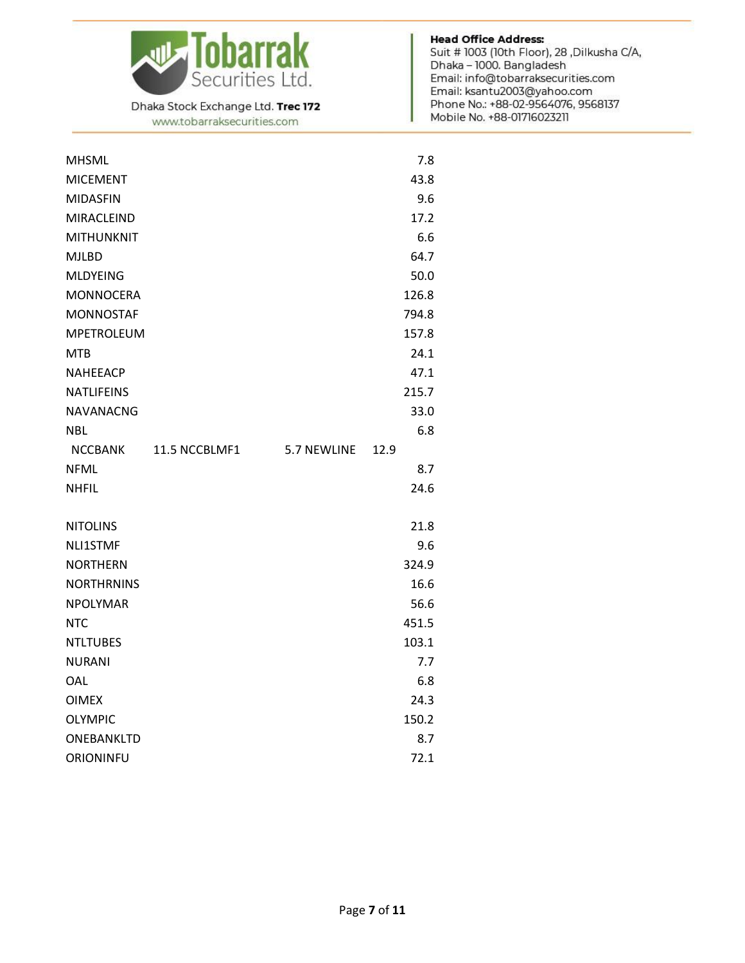

www.tobarraksecurities.com

| <b>MHSML</b>      |               |             | 7.8   |
|-------------------|---------------|-------------|-------|
| <b>MICEMENT</b>   |               |             | 43.8  |
| <b>MIDASFIN</b>   |               |             | 9.6   |
| <b>MIRACLEIND</b> |               |             | 17.2  |
| <b>MITHUNKNIT</b> |               |             | 6.6   |
| <b>MJLBD</b>      |               |             | 64.7  |
| <b>MLDYEING</b>   |               |             | 50.0  |
| <b>MONNOCERA</b>  |               |             | 126.8 |
| <b>MONNOSTAF</b>  |               |             | 794.8 |
| <b>MPETROLEUM</b> |               |             | 157.8 |
| <b>MTB</b>        |               |             | 24.1  |
| <b>NAHEEACP</b>   |               |             | 47.1  |
| <b>NATLIFEINS</b> |               |             | 215.7 |
| <b>NAVANACNG</b>  |               |             | 33.0  |
| <b>NBL</b>        |               |             | 6.8   |
| NCCBANK           | 11.5 NCCBLMF1 | 5.7 NEWLINE | 12.9  |
| <b>NFML</b>       |               |             | 8.7   |
| <b>NHFIL</b>      |               |             | 24.6  |
|                   |               |             |       |
| <b>NITOLINS</b>   |               |             | 21.8  |
| NLI1STMF          |               |             | 9.6   |
| <b>NORTHERN</b>   |               |             | 324.9 |
| <b>NORTHRNINS</b> |               |             | 16.6  |
| <b>NPOLYMAR</b>   |               |             | 56.6  |
| <b>NTC</b>        |               |             | 451.5 |
| <b>NTLTUBES</b>   |               |             | 103.1 |
| <b>NURANI</b>     |               |             | 7.7   |
| OAL               |               |             | 6.8   |
| <b>OIMEX</b>      |               |             | 24.3  |
| <b>OLYMPIC</b>    |               |             | 150.2 |
| ONEBANKLTD        |               |             | 8.7   |
| ORIONINFU         |               |             | 72.1  |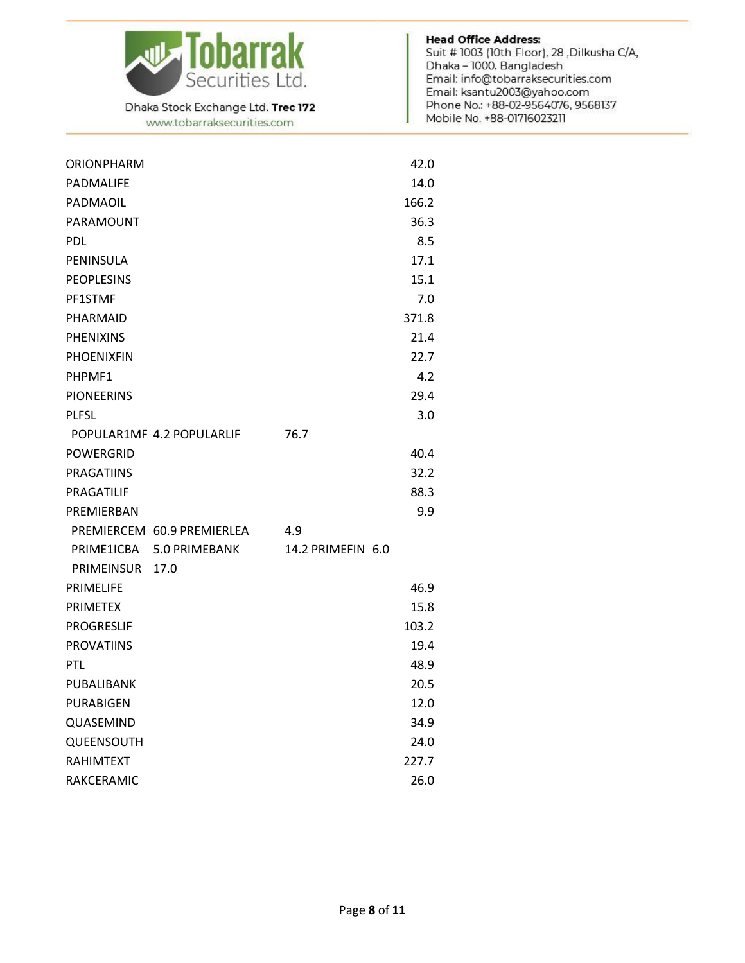

www.tobarraksecurities.com

| <b>ORIONPHARM</b> |                            |                   | 42.0  |
|-------------------|----------------------------|-------------------|-------|
| PADMALIFE         |                            |                   | 14.0  |
| PADMAOIL          |                            |                   | 166.2 |
| PARAMOUNT         |                            |                   | 36.3  |
| <b>PDL</b>        |                            |                   | 8.5   |
| PENINSULA         |                            |                   | 17.1  |
| <b>PEOPLESINS</b> |                            |                   | 15.1  |
| PF1STMF           |                            |                   | 7.0   |
| PHARMAID          |                            |                   | 371.8 |
| <b>PHENIXINS</b>  |                            |                   | 21.4  |
| <b>PHOENIXFIN</b> |                            |                   | 22.7  |
| PHPMF1            |                            |                   | 4.2   |
| <b>PIONEERINS</b> |                            |                   | 29.4  |
| <b>PLFSL</b>      |                            |                   | 3.0   |
|                   | POPULAR1MF 4.2 POPULARLIF  | 76.7              |       |
| POWERGRID         |                            |                   | 40.4  |
| <b>PRAGATIINS</b> |                            |                   | 32.2  |
| PRAGATILIF        |                            |                   | 88.3  |
| PREMIERBAN        |                            |                   | 9.9   |
|                   | PREMIERCEM 60.9 PREMIERLEA | 4.9               |       |
| PRIME1ICBA        | 5.0 PRIMEBANK              | 14.2 PRIMEFIN 6.0 |       |
| PRIMEINSUR        | 17.0                       |                   |       |
| <b>PRIMELIFE</b>  |                            |                   | 46.9  |
| <b>PRIMETEX</b>   |                            |                   | 15.8  |
| <b>PROGRESLIF</b> |                            |                   | 103.2 |
| <b>PROVATIINS</b> |                            |                   | 19.4  |
| PTL               |                            |                   | 48.9  |
| PUBALIBANK        |                            |                   | 20.5  |
| PURABIGEN         |                            |                   | 12.0  |
| QUASEMIND         |                            |                   | 34.9  |
| <b>QUEENSOUTH</b> |                            |                   | 24.0  |
| <b>RAHIMTEXT</b>  |                            |                   | 227.7 |
| RAKCERAMIC        |                            |                   | 26.0  |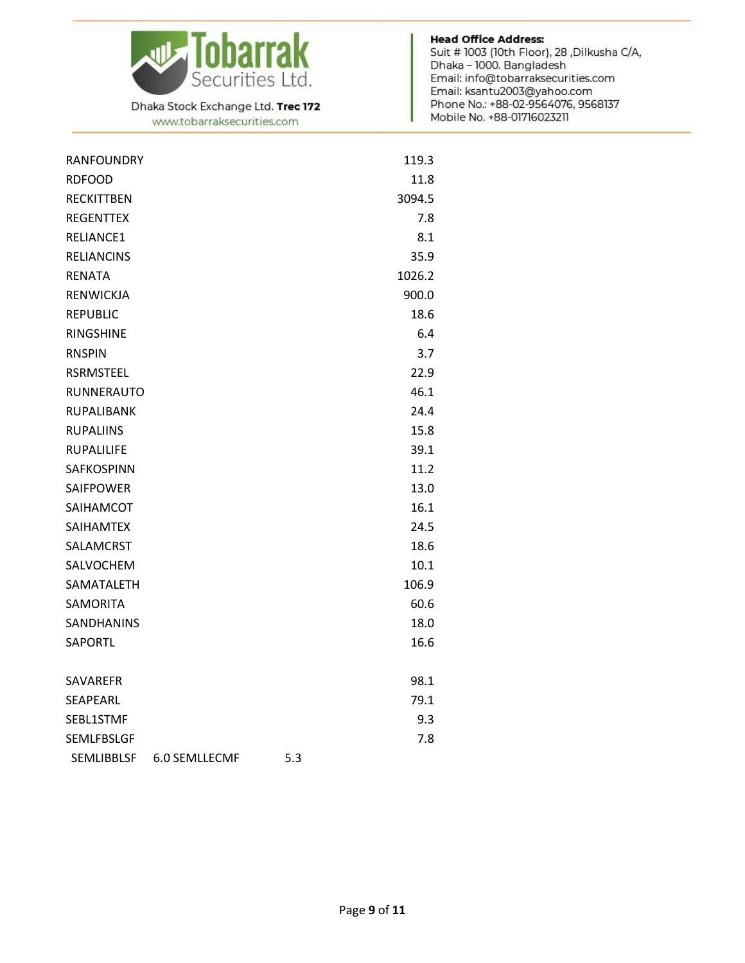

www.tobarraksecurities.com

| <b>RANFOUNDRY</b> |               |     | 119.3  |
|-------------------|---------------|-----|--------|
| <b>RDFOOD</b>     |               |     | 11.8   |
| <b>RECKITTBEN</b> |               |     | 3094.5 |
| <b>REGENTTEX</b>  |               |     | 7.8    |
| RELIANCE1         |               |     | 8.1    |
| <b>RELIANCINS</b> |               |     | 35.9   |
| <b>RENATA</b>     |               |     | 1026.2 |
| RENWICKJA         |               |     | 900.0  |
| <b>REPUBLIC</b>   |               |     | 18.6   |
| <b>RINGSHINE</b>  |               |     | 6.4    |
| <b>RNSPIN</b>     |               |     | 3.7    |
| <b>RSRMSTEEL</b>  |               |     | 22.9   |
| RUNNERAUTO        |               |     | 46.1   |
| <b>RUPALIBANK</b> |               |     | 24.4   |
| <b>RUPALIINS</b>  |               |     | 15.8   |
| <b>RUPALILIFE</b> |               |     | 39.1   |
| SAFKOSPINN        |               |     | 11.2   |
| <b>SAIFPOWER</b>  |               |     | 13.0   |
| SAIHAMCOT         |               |     | 16.1   |
| <b>SAIHAMTEX</b>  |               |     | 24.5   |
| SALAMCRST         |               |     | 18.6   |
| SALVOCHEM         |               |     | 10.1   |
| SAMATALETH        |               |     | 106.9  |
| <b>SAMORITA</b>   |               |     | 60.6   |
| <b>SANDHANINS</b> |               |     | 18.0   |
| <b>SAPORTL</b>    |               |     | 16.6   |
| SAVAREFR          |               |     | 98.1   |
| <b>SEAPEARL</b>   |               |     | 79.1   |
| SEBL1STMF         |               |     | 9.3    |
| <b>SEMLFBSLGF</b> |               |     | 7.8    |
| <b>SEMLIBBLSF</b> | 6.0 SEMLLECMF | 5.3 |        |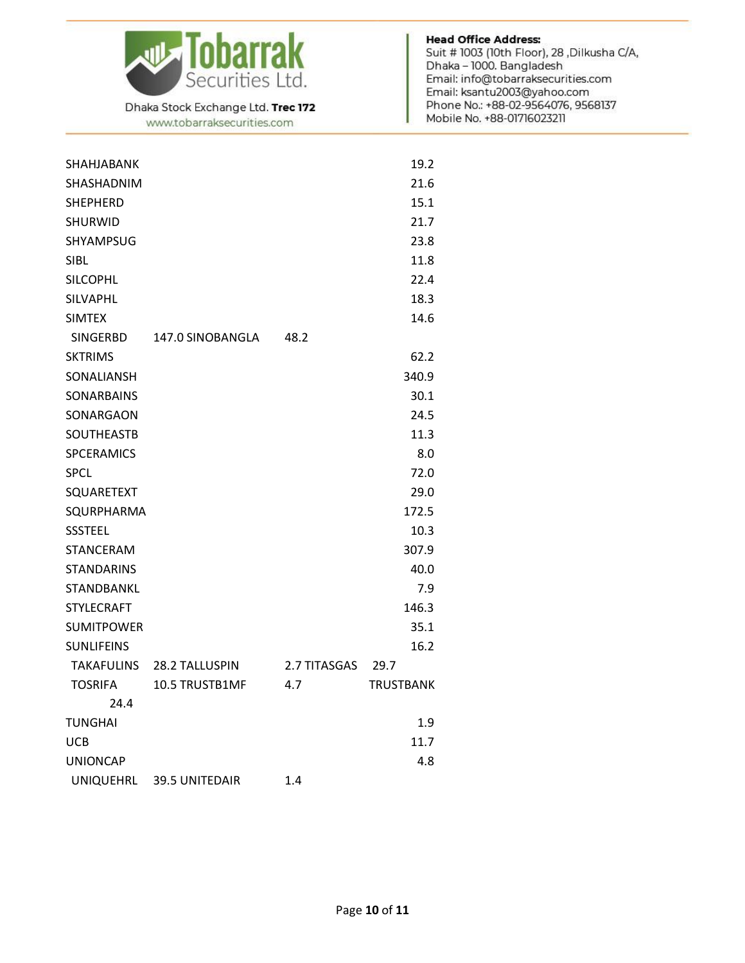

www.tobarraksecurities.com

| SHAHJABANK        |                  |              | 19.2             |
|-------------------|------------------|--------------|------------------|
| <b>SHASHADNIM</b> |                  |              | 21.6             |
| <b>SHEPHERD</b>   |                  |              | 15.1             |
| <b>SHURWID</b>    |                  |              | 21.7             |
| SHYAMPSUG         |                  |              | 23.8             |
| <b>SIBL</b>       |                  |              | 11.8             |
| <b>SILCOPHL</b>   |                  |              | 22.4             |
| SILVAPHL          |                  |              | 18.3             |
| <b>SIMTEX</b>     |                  |              | 14.6             |
| SINGERBD          | 147.0 SINOBANGLA | 48.2         |                  |
| <b>SKTRIMS</b>    |                  |              | 62.2             |
| SONALIANSH        |                  |              | 340.9            |
| <b>SONARBAINS</b> |                  |              | 30.1             |
| SONARGAON         |                  |              | 24.5             |
| <b>SOUTHEASTB</b> |                  |              | 11.3             |
| <b>SPCERAMICS</b> |                  |              | 8.0              |
| <b>SPCL</b>       |                  |              | 72.0             |
| SQUARETEXT        |                  |              | 29.0             |
| SQURPHARMA        |                  |              | 172.5            |
| <b>SSSTEEL</b>    |                  |              | 10.3             |
| <b>STANCERAM</b>  |                  |              | 307.9            |
| <b>STANDARINS</b> |                  |              | 40.0             |
| STANDBANKL        |                  |              | 7.9              |
| <b>STYLECRAFT</b> |                  |              | 146.3            |
| <b>SUMITPOWER</b> |                  |              | 35.1             |
| <b>SUNLIFEINS</b> |                  |              | 16.2             |
| TAKAFULINS        | 28.2 TALLUSPIN   | 2.7 TITASGAS | 29.7             |
| <b>TOSRIFA</b>    | 10.5 TRUSTB1MF   | 4.7          | <b>TRUSTBANK</b> |
| 24.4              |                  |              |                  |
| TUNGHAI           |                  |              | 1.9              |
| <b>UCB</b>        |                  |              | 11.7             |
| <b>UNIONCAP</b>   |                  |              | 4.8              |
| <b>UNIQUEHRL</b>  | 39.5 UNITEDAIR   | 1.4          |                  |